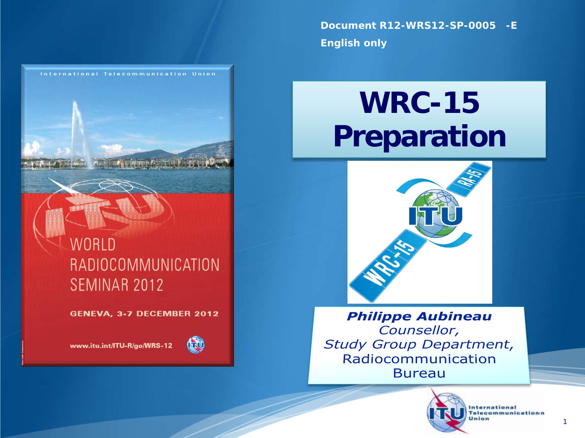**Document R12-WRS12-SP-0005 -E English only**

## **WRC-15 Preparation**



**Philippe Aubineau** Counsellor, **Study Group Department,** Radiocommunication **Bureau** 



**International** Telecommunicationn Union

1

#### **WORLD** RADIOCOMMUNICATION SEMINAR 2012

International Telecommunication Union

GENEVA, 3-7 DECEMBER 2012

www.itu.int/ITU-R/go/WRS-12

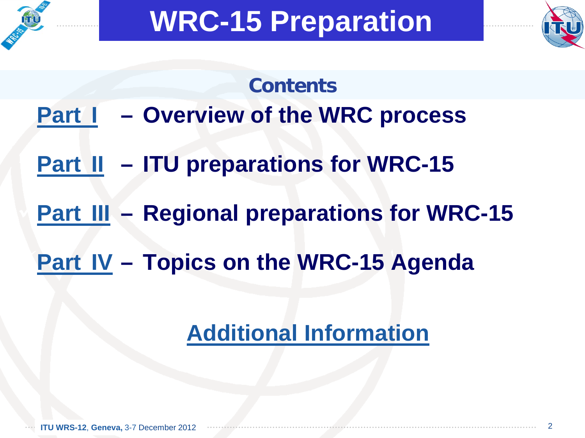<span id="page-1-0"></span>



# **Contents [Part](#page-2-0) I – Overview of the WRC process [Part II](#page-4-0) – ITU preparations for WRC-15 [Part III](#page-10-0) – Regional preparations for WRC-15 [Part IV](#page-16-0) – Topics on the WRC-15 Agenda**

#### **[Additional Information](#page-26-0)**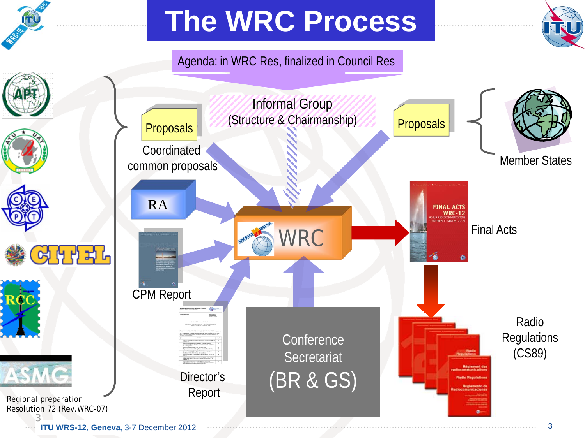<span id="page-2-0"></span>

## **The WRC Process**

#### Agenda: in WRC Res, finalized in Council Res



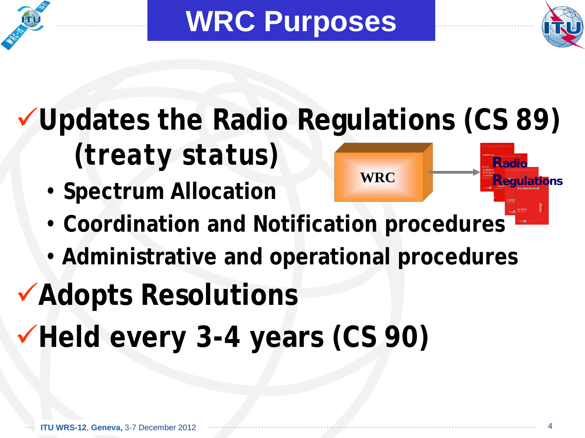<span id="page-3-0"></span>

**WRC Purposes**



#### **Updates the Radio Regulations (CS 89)** *(treaty status)* **Radio**

• **Spectrum Allocation**



- **Coordination and Notification procedures**
- **Administrative and operational procedures**

## **Adopts Resolutions**

**Held every 3-4 years (CS 90)**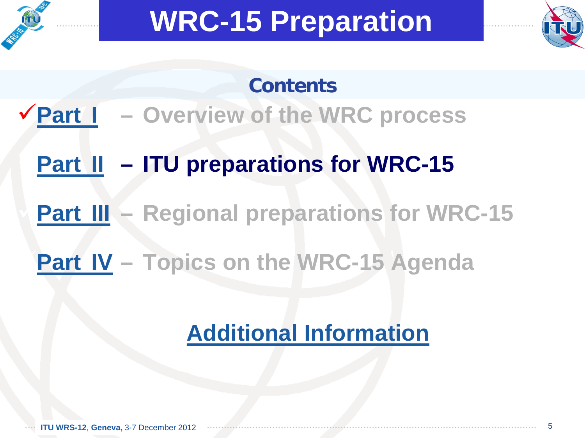<span id="page-4-0"></span>



#### **Contents**

- **[Part](#page-1-0) I – Overview of the WRC process**
	- **[Part II](#page-5-0) – ITU preparations for WRC-15**
	- **[Part III](#page-10-0) – Regional preparations for WRC-15**
	- **[Part IV](#page-16-0) – Topics on the WRC-15 Agenda**

### **[Additional Information](#page-26-0)**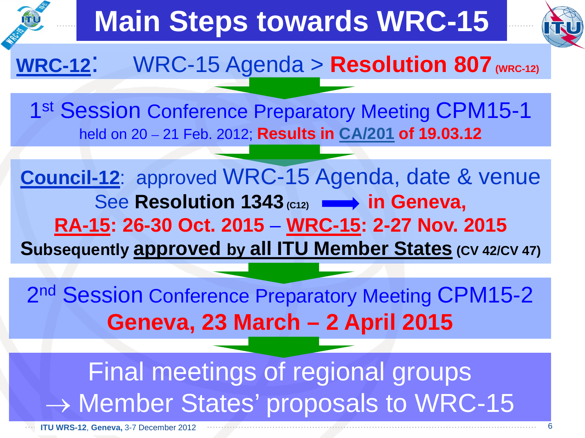<span id="page-5-0"></span>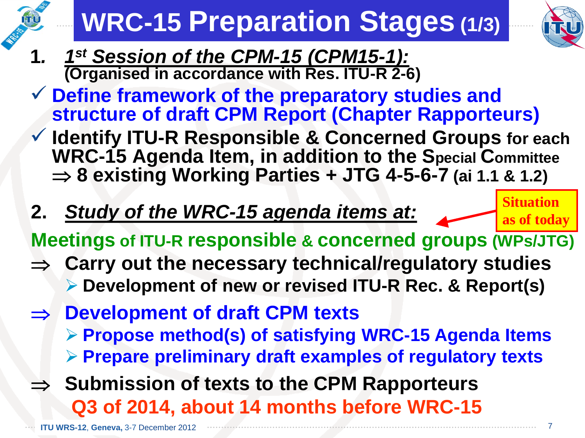# **WRC-15 Preparation Stages (1/3)**



- **1***. 1st Session of the CPM-15 (CPM15-1):* **(Organised in accordance with Res. ITU-R 2-6)**
- **Define framework of the preparatory studies and structure of draft CPM Report (Chapter Rapporteurs)**
- **Identify ITU-R Responsible & Concerned Groups for each WRC-15 Agenda Item, in addition to the Special Committee** ⇒ **8 existing Working Parties + JTG 4-5-6-7 (ai 1.1 & 1.2)**
- **2.** *Study of the WRC-15 agenda items at:*

**Situation as of today**

**Meetings of ITU-R responsible & concerned groups (WPs/JTG)**

- ⇒ **Carry out the necessary technical/regulatory studies Development of new or revised ITU-R Rec. & Report(s)**
- ⇒ **Development of draft CPM texts**
	- **Propose method(s) of satisfying WRC-15 Agenda Items Prepare preliminary draft examples of regulatory texts**
- ⇒ **Submission of texts to the CPM Rapporteurs Q3 of 2014, about 14 months before WRC-15**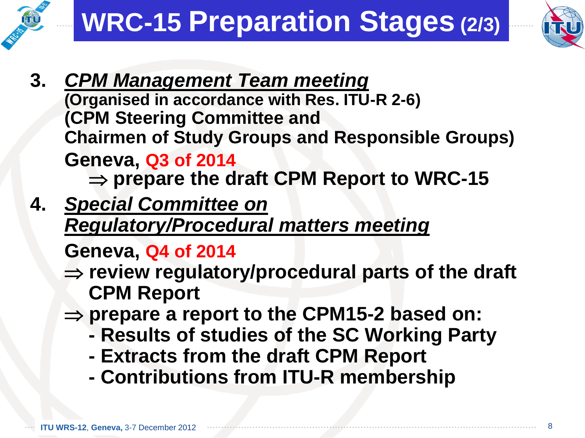



- **3.** *CPM Management Team meeting* **(Organised in accordance with Res. ITU-R 2-6) (CPM Steering Committee and Chairmen of Study Groups and Responsible Groups) Geneva, Q3 of 2014** ⇒ **prepare the draft CPM Report to WRC-15**
- **4.** *Special Committee on Regulatory/Procedural matters meeting*

**Geneva, Q4 of 2014**

- ⇒ **review regulatory/procedural parts of the draft CPM Report**
- ⇒ **prepare a report to the CPM15-2 based on:**
	- **- Results of studies of the SC Working Party**
	- **- Extracts from the draft CPM Report**
	- **- Contributions from ITU-R membership**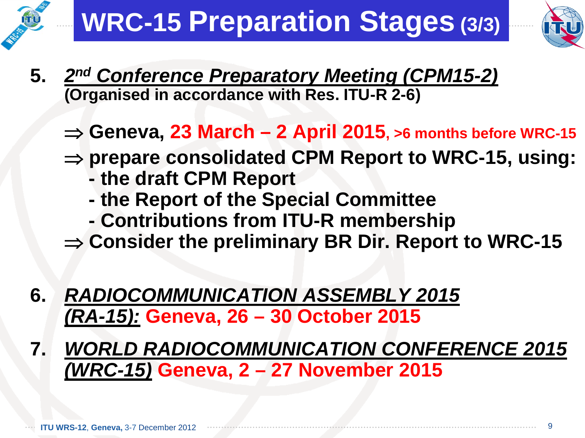



- **5.** *2nd Conference Preparatory Meeting (CPM15-2)* **(Organised in accordance with Res. ITU-R 2-6)**
	- ⇒ **Geneva, 23 March – 2 April 2015, >6 months before WRC-15**
	- ⇒ **prepare consolidated CPM Report to WRC-15, using:**
		- **- the draft CPM Report**
		- **- the Report of the Special Committee**
		- **- Contributions from ITU-R membership**
	- ⇒ **Consider the preliminary BR Dir. Report to WRC-15**
- **6.** *RADIOCOMMUNICATION ASSEMBLY 2015 (RA-15):* **Geneva, 26 – 30 October 2015**
- **7.** *WORLD RADIOCOMMUNICATION CONFERENCE 2015 (WRC-15)* **Geneva, 2 – 27 November 2015**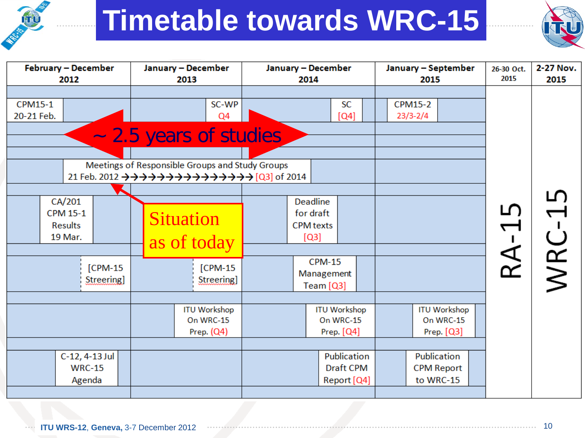## **Timetable towards WRC-15**



| <b>February - December</b><br>2012                                                         | January - December<br>2013                                                                                                                                                                                                                                              | January - December<br>2014                                                                             | January - September<br>2015                    | 26-30 Oct.<br>2015 | 2-27 Nov.<br>2015 |
|--------------------------------------------------------------------------------------------|-------------------------------------------------------------------------------------------------------------------------------------------------------------------------------------------------------------------------------------------------------------------------|--------------------------------------------------------------------------------------------------------|------------------------------------------------|--------------------|-------------------|
| CPM15-1<br>20-21 Feb.                                                                      | SC-WP<br>Q4<br>~ 2.5 years of studies<br>Meetings of Responsible Groups and Study Groups<br>21 Feb. 2012 $\rightarrow \rightarrow \rightarrow \rightarrow \rightarrow \rightarrow \rightarrow \rightarrow \rightarrow \rightarrow \rightarrow \rightarrow$ [Q3] of 2014 | <b>SC</b><br>[Q4]                                                                                      | <b>CPM15-2</b><br>$23/3 - 2/4$                 |                    |                   |
| CA/201<br><b>CPM 15-1</b><br><b>Results</b><br>19 Mar.<br>$[CPM-15]$<br><b>Streering</b> ] | <b>Situation</b><br>as of today<br>[CPM-15<br><b>Streering</b>                                                                                                                                                                                                          | <b>Deadline</b><br>for draft<br><b>CPM</b> texts<br>[Q3]<br><b>CPM-15</b><br>Management<br>Team $[Q3]$ |                                                | ഥ<br>RA-           | ഥ<br>WRC-         |
|                                                                                            | <b>ITU Workshop</b><br>On WRC-15<br>Prep. $(Q4)$                                                                                                                                                                                                                        | <b>ITU Workshop</b><br>On WRC-15<br>Prep. [Q4]                                                         | <b>ITU Workshop</b><br>On WRC-15<br>Prep. [Q3] |                    |                   |
| C-12, 4-13 Jul<br><b>WRC-15</b><br>Agenda                                                  |                                                                                                                                                                                                                                                                         | Publication<br><b>Draft CPM</b><br>Report [Q4]                                                         | Publication<br><b>CPM Report</b><br>to WRC-15  |                    |                   |

FU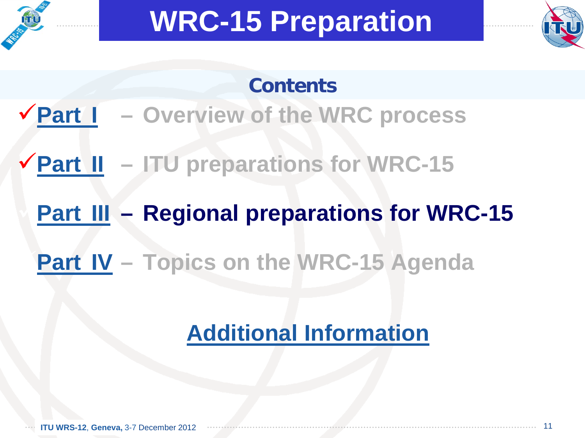<span id="page-10-0"></span>



#### **Contents**

- **[Part](#page-1-0) I – Overview of the WRC process**
- **[Part II](#page-4-0) – ITU preparations for WRC-15**
	- **[Part III](#page-11-0) – Regional preparations for WRC-15**
	- **[Part IV](#page-16-0) – Topics on the WRC-15 Agenda**

### **[Additional Information](#page-26-0)**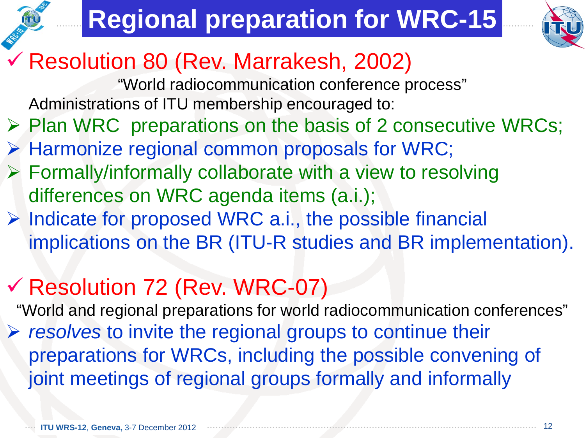## **Regional preparation for WRC-15**



#### <span id="page-11-0"></span>Resolution 80 (Rev. Marrakesh, 2002)

"World radiocommunication conference process" Administrations of ITU membership encouraged to:

- $\triangleright$  Plan WRC preparations on the basis of 2 consecutive WRCs;
- $\triangleright$  Harmonize regional common proposals for WRC;
- Formally/informally collaborate with a view to resolving differences on WRC agenda items (a.i.);
- $\triangleright$  Indicate for proposed WRC a.i., the possible financial implications on the BR (ITU-R studies and BR implementation).

### Resolution 72 (Rev. WRC-07)

"World and regional preparations for world radiocommunication conferences" *resolves* to invite the regional groups to continue their preparations for WRCs, including the possible convening of joint meetings of regional groups formally and informally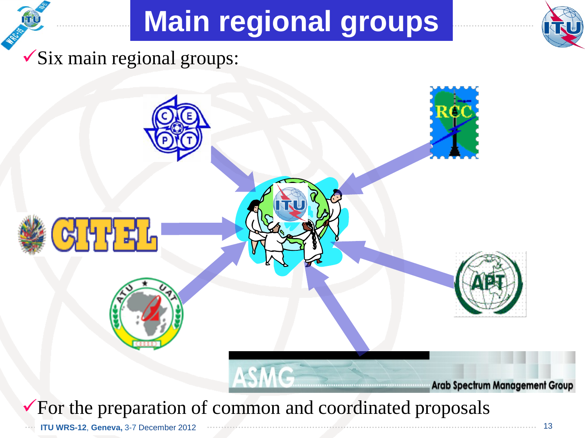## **Main regional groups**



 $\checkmark$ Six main regional groups:

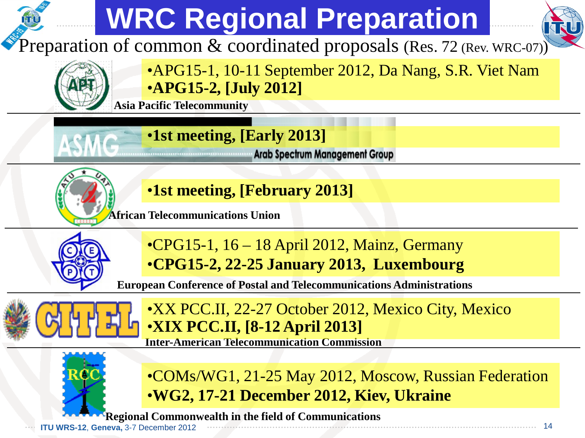#### **WRC Regional Preparation** Preparation of common & coordinated proposals (Res. 72 (Rev. WRC-07)) •APG15-1, 10-11 September 2012, Da Nang, S.R. Viet Nam •**APG15-2, [July 2012] Asia Pacific Telecommunity** •**1st meeting, [Early 2013] Example 2016** Arab Spectrum Management Group •**1st meeting, [February 2013]African Telecommunications Union** •CPG15-1, 16 – 18 April 2012, Mainz, Germany •**CPG15-2, 22-25 January 2013, Luxembourg European Conference of Postal and Telecommunications Administrations** •XX PCC.II, 22-27 October 2012, Mexico City, Mexico •**XIX PCC.II, [8-12 April 2013] Inter-American Telecommunication Commission** •COMs/WG1, 21-25 May 2012, Moscow, Russian Federation

•**WG2, 17-21 December 2012, Kiev, Ukraine**

**ITU WRS-12, Geneva, 3-7 December 2012 Regional Commonwealth in the field of Communications**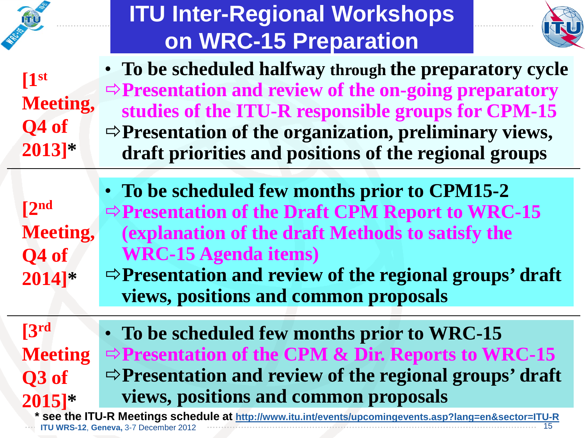|                                                                                                                                                        | <b>ITU Inter-Regional Workshops</b>                                                                                                                                                                                                                                                                               |  |  |  |  |
|--------------------------------------------------------------------------------------------------------------------------------------------------------|-------------------------------------------------------------------------------------------------------------------------------------------------------------------------------------------------------------------------------------------------------------------------------------------------------------------|--|--|--|--|
|                                                                                                                                                        | on WRC-15 Preparation                                                                                                                                                                                                                                                                                             |  |  |  |  |
| $\mathbf{I}^{\mathrm{st}}$<br><b>Meeting,</b><br>Q4 of<br>$2013$ <sup>*</sup>                                                                          | • To be scheduled halfway through the preparatory cycle<br>$\Rightarrow$ Presentation and review of the on-going preparatory<br>studies of the ITU-R responsible groups for CPM-15<br>$\Rightarrow$ Presentation of the organization, preliminary views,<br>draft priorities and positions of the regional groups |  |  |  |  |
| $\lceil 2^{nd} \rceil$<br><b>Meeting,</b><br>Q4 of<br>$2014$ <sup>*</sup>                                                                              | • To be scheduled few months prior to CPM15-2<br>$\Rightarrow$ Presentation of the Draft CPM Report to WRC-15<br>(explanation of the draft Methods to satisfy the<br><b>WRC-15 Agenda items)</b><br>$\Rightarrow$ Presentation and review of the regional groups' draft<br>views, positions and common proposals  |  |  |  |  |
| 3 <sup>rd</sup><br><b>Meeting</b><br>Q3 of<br>$2015$ <sup>*</sup>                                                                                      | • To be scheduled few months prior to WRC-15<br>$\Rightarrow$ Presentation of the CPM & Dir. Reports to WRC-15<br>$\Rightarrow$ Presentation and review of the regional groups' draft<br>views, positions and common proposals                                                                                    |  |  |  |  |
| * see the ITU-R Meetings schedule at http://www.itu.int/events/upcomingevents.asp?lang=en&sector=ITU-R<br><b>ITU WRS-12, Geneva, 3-7 December 2012</b> |                                                                                                                                                                                                                                                                                                                   |  |  |  |  |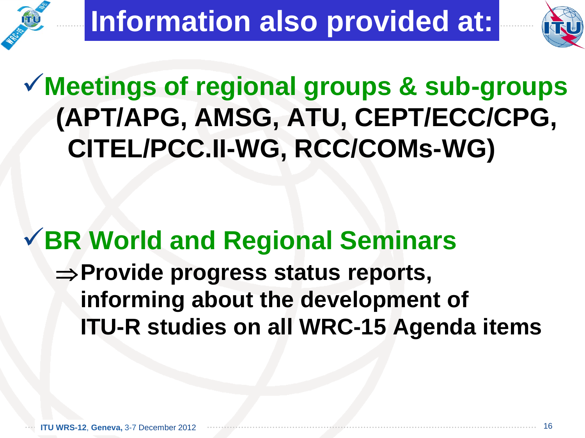

### **Meetings of regional groups & sub-groups (APT/APG, AMSG, ATU, CEPT/ECC/CPG, CITEL/PCC.II-WG, RCC/COMs-WG)**

### **BR World and Regional Seminars** ⇒**Provide progress status reports, informing about the development of ITU-R studies on all WRC-15 Agenda items**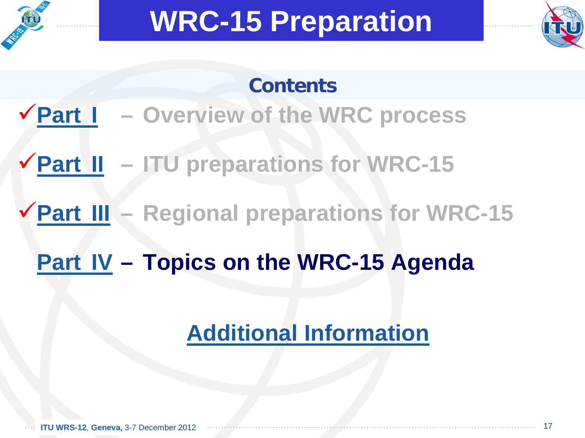<span id="page-16-0"></span>



#### **Contents**

- **[Part](#page-1-0) I – Overview of the WRC process**
- **[Part II](#page-4-0) – ITU preparations for WRC-15**
- **[Part III](#page-10-0) – Regional preparations for WRC-15**
	- **[Part IV](#page-17-0) – Topics on the WRC-15 Agenda**

### **[Additional Information](#page-26-0)**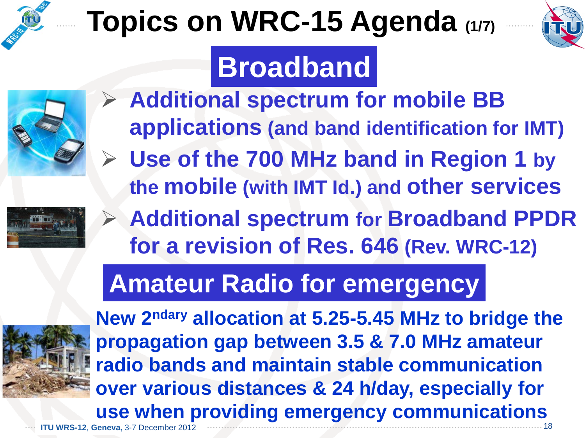<span id="page-17-0"></span>

# **Topics on WRC-15 Agenda (1/7)**



## **Broadband**



- **Additional spectrum for mobile BB applications (and band identification for IMT)**
	- **Use of the 700 MHz band in Region 1 by the mobile (with IMT Id.) and other services**



 **Additional spectrum for Broadband PPDR for a revision of Res. 646 (Rev. WRC-12)**

### **Amateur Radio for emergency**



**ITU WRS-12**, **Geneva,** 3-7 December 2012 **New 2ndary allocation at 5.25-5.45 MHz to bridge the propagation gap between 3.5 & 7.0 MHz amateur radio bands and maintain stable communication over various distances & 24 h/day, especially for use when providing emergency communications** 18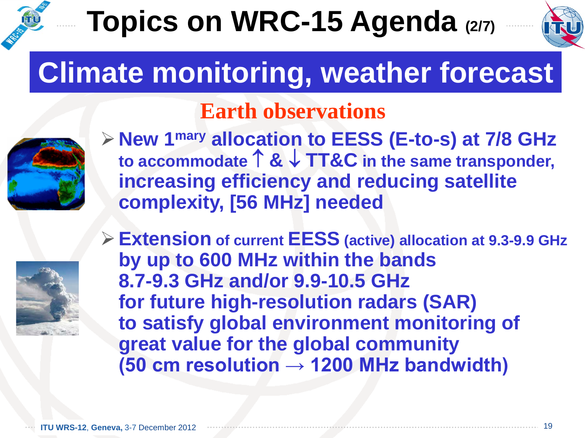## **Topics on WRC-15 Agenda (2/7)**



## **Climate monitoring, weather forecast**

#### **Earth observations**



**New 1mary allocation to EESS (E-to-s) at 7/8 GHz to accommodate** ↑ **&** ↓ **TT&C in the same transponder, increasing efficiency and reducing satellite complexity, [56 MHz] needed**



**Extension of current EESS (active) allocation at 9.3-9.9 GHz by up to 600 MHz within the bands 8.7-9.3 GHz and/or 9.9-10.5 GHz for future high-resolution radars (SAR) to satisfy global environment monitoring of great value for the global community (50 cm resolution → 1200 MHz bandwidth)**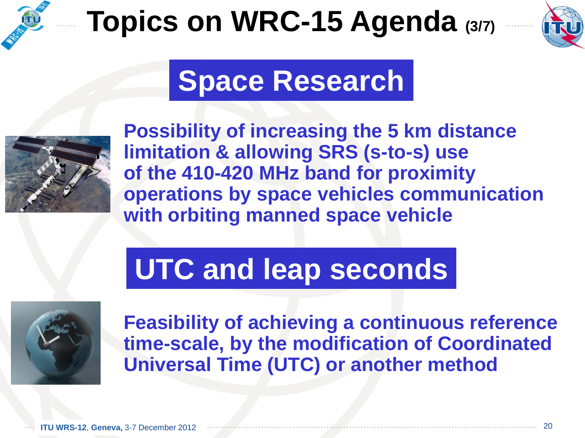

## **Topics on WRC-15 Agenda (3/7)**



### **Space Research**



**Possibility of increasing the 5 km distance limitation & allowing SRS (s-to-s) use of the 410-420 MHz band for proximity operations by space vehicles communication with orbiting manned space vehicle**

## **UTC and leap seconds**



**Feasibility of achieving a continuous reference time-scale, by the modification of Coordinated Universal Time (UTC) or another method**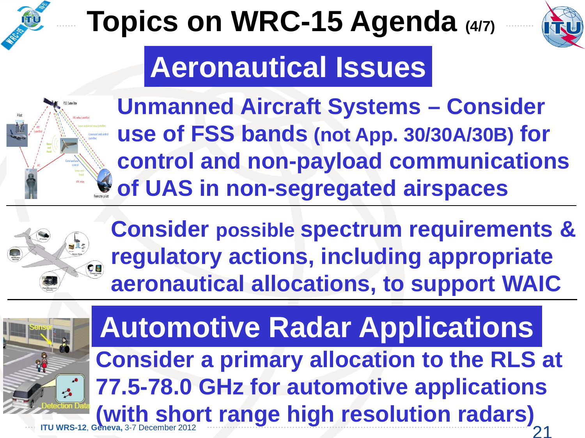

# **Topics on WRC-15 Agenda (4/7)**



## **Aeronautical Issues**



**Unmanned Aircraft Systems – Consider use of FSS bands (not App. 30/30A/30B) for control and non-payload communications of UAS in non-segregated airspaces**



**Consider possible spectrum requirements & regulatory actions, including appropriate aeronautical allocations, to support WAIC**



**ITU WRS-12, Geneva,** 3-7 December 2012 2008 2009 2009 2009 2009 21 21 22 21 22 21 **Consider a primary allocation to the RLS at 77.5-78.0 GHz for automotive applications (with short range high resolution radars) Automotive Radar Applications**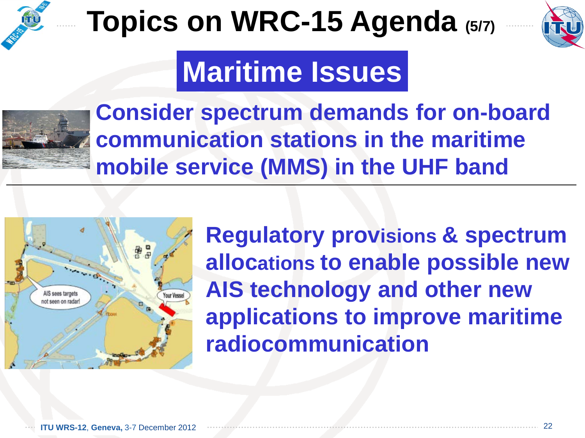

## **Topics on WRC-15 Agenda (5/7)**



## **Maritime Issues**



**Consider spectrum demands for on-board communication stations in the maritime mobile service (MMS) in the UHF band**



**Regulatory provisions & spectrum allocations to enable possible new AIS technology and other new applications to improve maritime radiocommunication**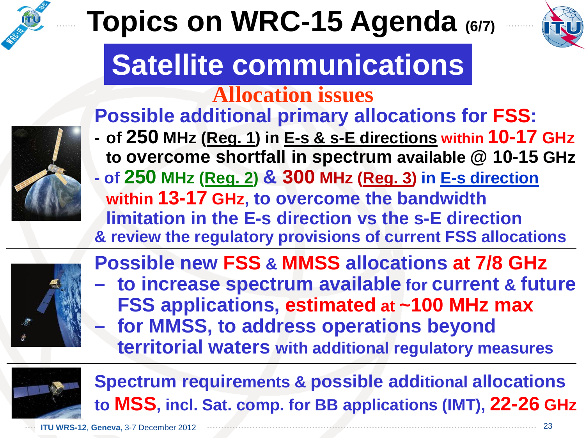

# **Topics on WRC-15 Agenda (6/7)**



## **Satellite communications**

#### **Allocation issues**

#### **Possible additional primary allocations for FSS:**

- **- of 250 MHz (Reg. 1) in E-s & s-E directions within 10-17 GHz to overcome shortfall in spectrum available @ 10-15 GHz**
- **- of 250 MHz (Reg. 2) & 300 MHz (Reg. 3) in E-s direction within 13-17 GHz, to overcome the bandwidth limitation in the E-s direction vs the s-E direction & review the regulatory provisions of current FSS allocations**



**Possible new FSS & MMSS allocations at 7/8 GHz – to increase spectrum available for current & future FSS applications, estimated at ~100 MHz max – for MMSS, to address operations beyond** 

**territorial waters with additional regulatory measures**



**Spectrum requirements & possible additional allocations to MSS, incl. Sat. comp. for BB applications (IMT), 22-26 GHz**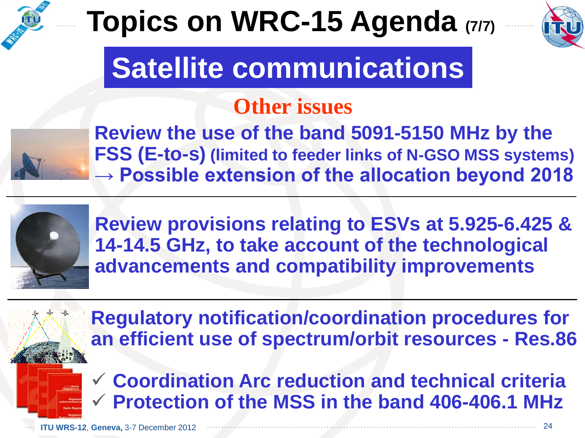

## **Topics on WRC-15 Agenda (7/7)**



## **Satellite communications**

#### **Other issues**



**Review the use of the band 5091-5150 MHz by the FSS (E-to-s) (limited to feeder links of N-GSO MSS systems) → Possible extension of the allocation beyond 2018**



**Review provisions relating to ESVs at 5.925-6.425 & 14-14.5 GHz, to take account of the technological advancements and compatibility improvements**

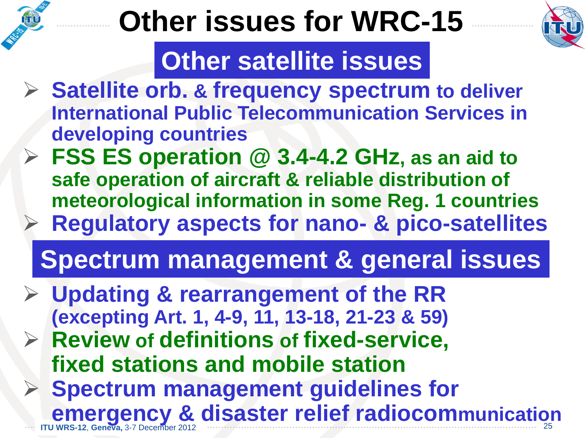## **Other issues for WRC-15**



### **Other satellite issues**

- **Satellite orb. & frequency spectrum to deliver International Public Telecommunication Services in developing countries**
- **FSS ES operation @ 3.4-4.2 GHz, as an aid to safe operation of aircraft & reliable distribution of meteorological information in some Reg. 1 countries Regulatory aspects for nano- & pico-satellites**

## **Spectrum management & general issues**

- **Updating & rearrangement of the RR (excepting Art. 1, 4-9, 11, 13-18, 21-23 & 59) Review of definitions of fixed-service, fixed stations and mobile station Spectrum management guidelines for** 
	- **IFTU WRS-12, Geneva, 3-7 December 2012 except <b>communication** 25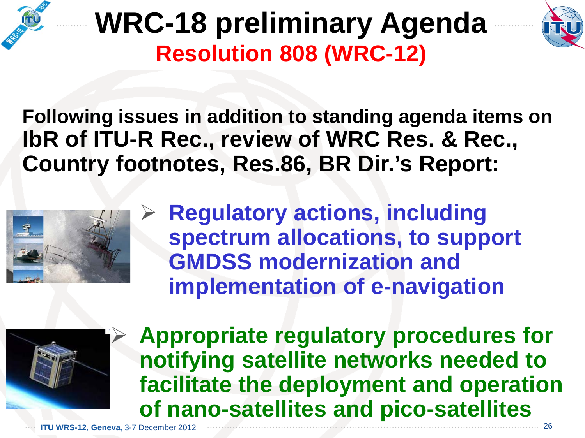

## **WRC-18 preliminary Agenda Resolution 808 (WRC-12)**



**Following issues in addition to standing agenda items on IbR of ITU-R Rec., review of WRC Res. & Rec., Country footnotes, Res.86, BR Dir.'s Report:**



 **Regulatory actions, including spectrum allocations, to support GMDSS modernization and implementation of e-navigation**



 **Appropriate regulatory procedures for notifying satellite networks needed to facilitate the deployment and operation of nano-satellites and pico-satellites**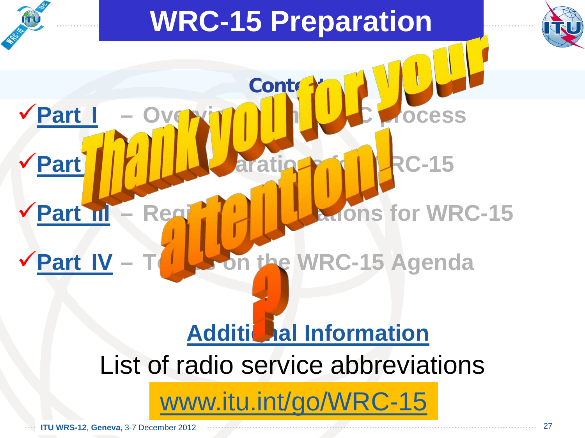<span id="page-26-0"></span>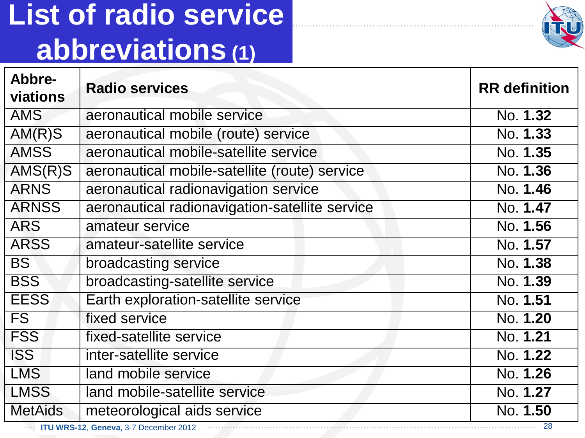## <span id="page-27-0"></span>**List of radio service abbreviations (1)**



| Abbre-<br>viations                                          | <b>Radio services</b>                          | <b>RR</b> definition |  |  |
|-------------------------------------------------------------|------------------------------------------------|----------------------|--|--|
| <b>AMS</b>                                                  | aeronautical mobile service                    | No. 1.32             |  |  |
| AM(R)S                                                      | aeronautical mobile (route) service            | No. 1.33             |  |  |
| <b>AMSS</b>                                                 | aeronautical mobile-satellite service          | No. 1.35             |  |  |
| $AMS(R)$ S                                                  | aeronautical mobile-satellite (route) service  | No. 1.36             |  |  |
| <b>ARNS</b>                                                 | aeronautical radionavigation service           | No. 1.46             |  |  |
| <b>ARNSS</b>                                                | aeronautical radionavigation-satellite service | No. 1.47             |  |  |
| <b>ARS</b>                                                  | amateur service                                | No. 1.56             |  |  |
| <b>ARSS</b>                                                 | amateur-satellite service                      | No. 1.57             |  |  |
| <b>BS</b>                                                   | broadcasting service                           | No. 1.38             |  |  |
| <b>BSS</b>                                                  | broadcasting-satellite service                 | No. 1.39             |  |  |
| <b>EESS</b>                                                 | Earth exploration-satellite service            | No. 1.51             |  |  |
| FS                                                          | fixed service                                  | No. 1.20             |  |  |
| <b>FSS</b>                                                  | fixed-satellite service                        | No. 1.21             |  |  |
| <b>ISS</b>                                                  | inter-satellite service                        | No. 1.22             |  |  |
| <b>LMS</b>                                                  | land mobile service                            | No. 1.26             |  |  |
| <b>LMSS</b>                                                 | land mobile-satellite service                  | No. 1.27             |  |  |
| <b>MetAids</b>                                              | meteorological aids service                    | No. 1.50             |  |  |
| -28<br><b>EXAMPLE 170 WRS-12, Geneva, 3-7 December 2012</b> |                                                |                      |  |  |